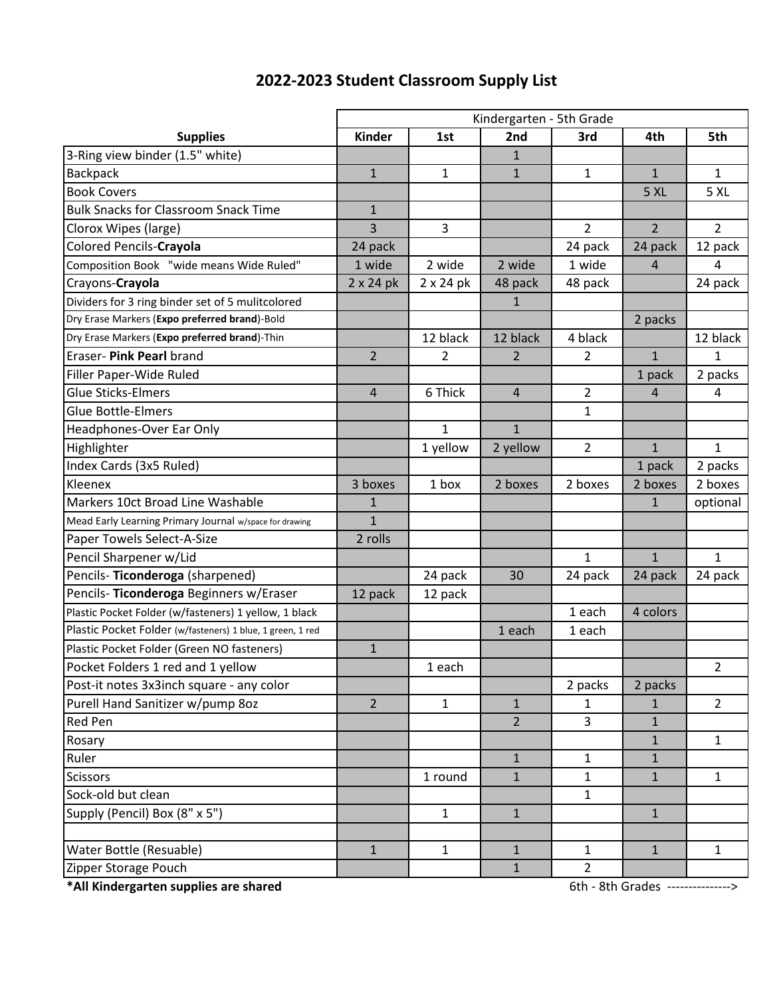|                                                            | Kindergarten - 5th Grade |                  |                |                |                |                |  |
|------------------------------------------------------------|--------------------------|------------------|----------------|----------------|----------------|----------------|--|
| <b>Supplies</b>                                            | Kinder                   | 1st              | 2nd            | 3rd            | 4th            | 5th            |  |
| 3-Ring view binder (1.5" white)                            |                          |                  | $\mathbf{1}$   |                |                |                |  |
| <b>Backpack</b>                                            | $\mathbf{1}$             | $\mathbf{1}$     | $\mathbf{1}$   | 1              | $\mathbf{1}$   | 1              |  |
| <b>Book Covers</b>                                         |                          |                  |                |                | 5 XL           | 5 XL           |  |
| <b>Bulk Snacks for Classroom Snack Time</b>                | $\mathbf{1}$             |                  |                |                |                |                |  |
| Clorox Wipes (large)                                       | 3                        | 3                |                | $\overline{2}$ | $\overline{2}$ | $\overline{2}$ |  |
| Colored Pencils-Crayola                                    | 24 pack                  |                  |                | 24 pack        | 24 pack        | 12 pack        |  |
| Composition Book "wide means Wide Ruled"                   | 1 wide                   | 2 wide           | 2 wide         | 1 wide         | $\overline{4}$ | 4              |  |
| Crayons-Crayola                                            | $2 \times 24$ pk         | $2 \times 24$ pk | 48 pack        | 48 pack        |                | 24 pack        |  |
| Dividers for 3 ring binder set of 5 mulitcolored           |                          |                  | 1              |                |                |                |  |
| Dry Erase Markers (Expo preferred brand)-Bold              |                          |                  |                |                | 2 packs        |                |  |
| Dry Erase Markers (Expo preferred brand)-Thin              |                          | 12 black         | 12 black       | 4 black        |                | 12 black       |  |
| Eraser- Pink Pearl brand                                   | $2^{\circ}$              | 2                | $\overline{2}$ | 2              | $\mathbf{1}$   | 1              |  |
| Filler Paper-Wide Ruled                                    |                          |                  |                |                | 1 pack         | 2 packs        |  |
| <b>Glue Sticks-Elmers</b>                                  | $\overline{4}$           | 6 Thick          | 4              | 2              | 4              | 4              |  |
| <b>Glue Bottle-Elmers</b>                                  |                          |                  |                | 1              |                |                |  |
| Headphones-Over Ear Only                                   |                          | $\mathbf{1}$     | $\mathbf{1}$   |                |                |                |  |
| Highlighter                                                |                          | 1 yellow         | 2 yellow       | $\overline{2}$ | $\mathbf{1}$   | $\mathbf{1}$   |  |
| Index Cards (3x5 Ruled)                                    |                          |                  |                |                | 1 pack         | 2 packs        |  |
| Kleenex                                                    | 3 boxes                  | 1 box            | 2 boxes        | 2 boxes        | 2 boxes        | 2 boxes        |  |
| Markers 10ct Broad Line Washable                           | $\mathbf{1}$             |                  |                |                | $\mathbf{1}$   | optional       |  |
| Mead Early Learning Primary Journal w/space for drawing    | $\mathbf{1}$             |                  |                |                |                |                |  |
| Paper Towels Select-A-Size                                 | 2 rolls                  |                  |                |                |                |                |  |
| Pencil Sharpener w/Lid                                     |                          |                  |                | $\mathbf{1}$   | $\mathbf{1}$   | $\mathbf{1}$   |  |
| Pencils- Ticonderoga (sharpened)                           |                          | 24 pack          | 30             | 24 pack        | 24 pack        | 24 pack        |  |
| Pencils- Ticonderoga Beginners w/Eraser                    | 12 pack                  | 12 pack          |                |                |                |                |  |
| Plastic Pocket Folder (w/fasteners) 1 yellow, 1 black      |                          |                  |                | 1 each         | 4 colors       |                |  |
| Plastic Pocket Folder (w/fasteners) 1 blue, 1 green, 1 red |                          |                  | 1 each         | 1 each         |                |                |  |
| Plastic Pocket Folder (Green NO fasteners)                 | $\mathbf{1}$             |                  |                |                |                |                |  |
| Pocket Folders 1 red and 1 yellow                          |                          | 1 each           |                |                |                | $\overline{2}$ |  |
| Post-it notes 3x3inch square - any color                   |                          |                  |                | 2 packs        | 2 packs        |                |  |
| Purell Hand Sanitizer w/pump 80z                           | $2^{\circ}$              | $\mathbf{1}$     | $\mathbf{1}$   | 1              | $\mathbf{1}$   | $\overline{2}$ |  |
| Red Pen                                                    |                          |                  | $\overline{2}$ | 3              | $\mathbf{1}$   |                |  |
| Rosary                                                     |                          |                  |                |                | $\mathbf{1}$   | $\mathbf{1}$   |  |
| Ruler                                                      |                          |                  | $\mathbf{1}$   | $\mathbf{1}$   | $\mathbf{1}$   |                |  |
| Scissors                                                   |                          | 1 round          | $\mathbf{1}$   | $\mathbf{1}$   | $\mathbf{1}$   | $\mathbf{1}$   |  |
| Sock-old but clean                                         |                          |                  |                | $\mathbf{1}$   |                |                |  |
| Supply (Pencil) Box (8" x 5")                              |                          | $\mathbf{1}$     | $\mathbf{1}$   |                | $\mathbf{1}$   |                |  |
|                                                            |                          |                  |                |                |                |                |  |
| Water Bottle (Resuable)                                    | $\mathbf{1}$             | $\mathbf{1}$     | $\mathbf{1}$   | $\mathbf{1}$   | $\mathbf{1}$   | $\mathbf{1}$   |  |
| Zipper Storage Pouch                                       |                          |                  | $\mathbf{1}$   | $\overline{2}$ |                |                |  |

## **2022-2023 Student Classroom Supply List**

**\*All Kindergarten supplies are shared** 6th - 8th Grades --------------->